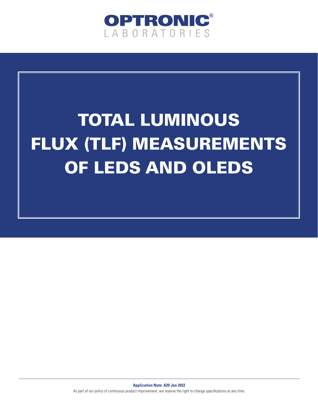

# TOTAL LUMINOUS FLUX (TLF) MEASUREMENTS OF LEDS AND OLEDS